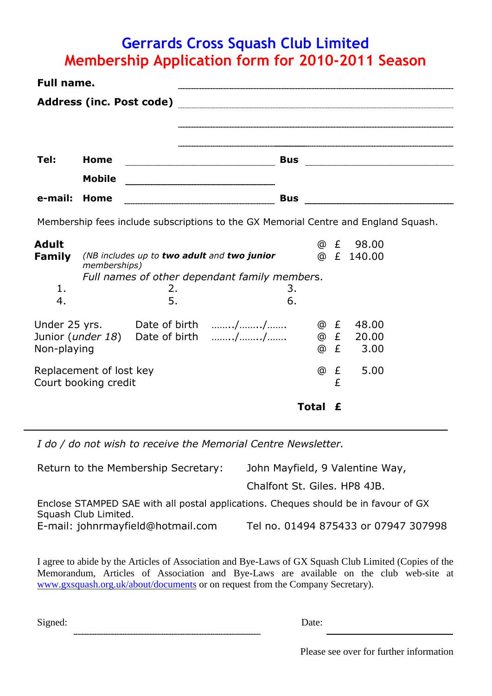## **Gerrards Cross Squash Club Limited Membership Application form for 2010-2011 Season**

| Full name.                                      |                                 |          |                                                                                     |              |             |                         |  |
|-------------------------------------------------|---------------------------------|----------|-------------------------------------------------------------------------------------|--------------|-------------|-------------------------|--|
|                                                 | <b>Address (inc. Post code)</b> |          |                                                                                     |              |             |                         |  |
|                                                 |                                 |          |                                                                                     |              |             |                         |  |
| Tel:                                            | Home                            |          |                                                                                     |              |             |                         |  |
|                                                 | <b>Mobile</b>                   |          |                                                                                     |              |             |                         |  |
| e-mail:                                         | Home                            |          |                                                                                     |              |             |                         |  |
|                                                 |                                 |          | Membership fees include subscriptions to the GX Memorial Centre and England Squash. |              |             |                         |  |
| <b>Adult</b><br>Family                          | memberships)                    |          | (NB includes up to two adult and two junior                                         |              |             | @ £ 98.00<br>@ £ 140.00 |  |
| 1.<br>4.                                        |                                 | 2.<br>5. | Full names of other dependant family members.                                       | 3.<br>6.     |             |                         |  |
| Non-playing                                     |                                 |          | Under 25 yrs. Date of birth //<br>Junior ( <i>under 18</i> ) Date of birth // @ £   |              | @f<br>@f    | 48.00<br>20.00<br>3.00  |  |
| Replacement of lost key<br>Court booking credit |                                 |          |                                                                                     |              | @<br>£<br>£ | 5.00                    |  |
|                                                 |                                 |          |                                                                                     | <b>Total</b> | £           |                         |  |

*I do / do not wish to receive the Memorial Centre Newsletter.*

Return to the Membership Secretary: John Mayfield, 9 Valentine Way, Chalfont St. Giles. HP8 4JB. Enclose STAMPED SAE with all postal applications. Cheques should be in favour of GX Squash Club Limited. E-mail: johnrmayfield@hotmail.com Tel no. 01494 875433 or 07947 307998

I agree to abide by the Articles of Association and Bye-Laws of GX Squash Club Limited (Copies of the Memorandum, Articles of Association and Bye-Laws are available on the club web-site at [www.gxsquash.org.uk/about/documents](http://www.gxsquash.org.uk/about/documents) or on request from the Company Secretary).

Signed: Date: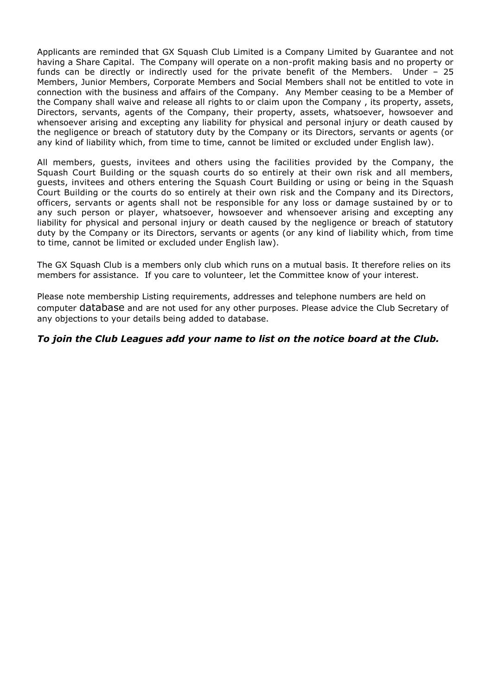Applicants are reminded that GX Squash Club Limited is a Company Limited by Guarantee and not having a Share Capital. The Company will operate on a non-profit making basis and no property or funds can be directly or indirectly used for the private benefit of the Members. Under – 25 Members, Junior Members, Corporate Members and Social Members shall not be entitled to vote in connection with the business and affairs of the Company. Any Member ceasing to be a Member of the Company shall waive and release all rights to or claim upon the Company , its property, assets, Directors, servants, agents of the Company, their property, assets, whatsoever, howsoever and whensoever arising and excepting any liability for physical and personal injury or death caused by the negligence or breach of statutory duty by the Company or its Directors, servants or agents (or any kind of liability which, from time to time, cannot be limited or excluded under English law).

All members, guests, invitees and others using the facilities provided by the Company, the Squash Court Building or the squash courts do so entirely at their own risk and all members, guests, invitees and others entering the Squash Court Building or using or being in the Squash Court Building or the courts do so entirely at their own risk and the Company and its Directors, officers, servants or agents shall not be responsible for any loss or damage sustained by or to any such person or player, whatsoever, howsoever and whensoever arising and excepting any liability for physical and personal injury or death caused by the negligence or breach of statutory duty by the Company or its Directors, servants or agents (or any kind of liability which, from time to time, cannot be limited or excluded under English law).

The GX Squash Club is a members only club which runs on a mutual basis. It therefore relies on its members for assistance. If you care to volunteer, let the Committee know of your interest.

Please note membership Listing requirements, addresses and telephone numbers are held on computer database and are not used for any other purposes. Please advice the Club Secretary of any objections to your details being added to database.

## *To join the Club Leagues add your name to list on the notice board at the Club.*